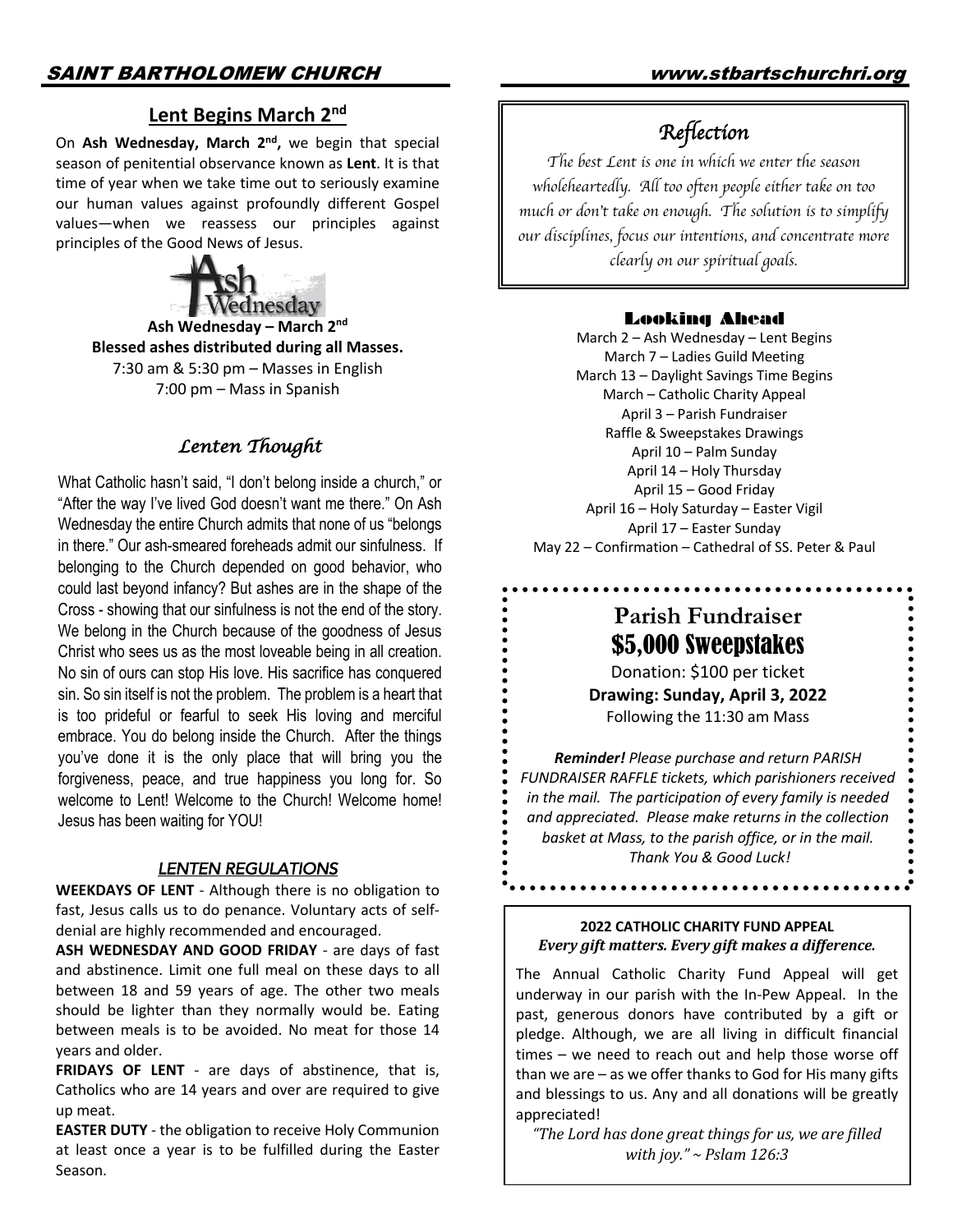# **Lent Begins March 2nd**

On **Ash Wednesday, March 2nd,** we begin that special season of penitential observance known as **Lent**. It is that time of year when we take time out to seriously examine our human values against profoundly different Gospel values—when we reassess our principles against principles of the Good News of Jesus.



**Ash Wednesday – March 2nd Blessed ashes distributed during all Masses.**  7:30 am & 5:30 pm – Masses in English 7:00 pm – Mass in Spanish

# *Lenten Thought*

What Catholic hasn't said, "I don't belong inside a church," or "After the way I've lived God doesn't want me there." On Ash Wednesday the entire Church admits that none of us "belongs in there." Our ash-smeared foreheads admit our sinfulness. If belonging to the Church depended on good behavior, who could last beyond infancy? But ashes are in the shape of the Cross - showing that our sinfulness is not the end of the story. We belong in the Church because of the goodness of Jesus Christ who sees us as the most loveable being in all creation. No sin of ours can stop His love. His sacrifice has conquered sin. So sin itself is not the problem. The problem is a heart that is too prideful or fearful to seek His loving and merciful embrace. You do belong inside the Church. After the things you've done it is the only place that will bring you the forgiveness, peace, and true happiness you long for. So welcome to Lent! Welcome to the Church! Welcome home! Jesus has been waiting for YOU!

#### *LENTEN REGULATIONS*

**WEEKDAYS OF LENT** - Although there is no obligation to fast, Jesus calls us to do penance. Voluntary acts of selfdenial are highly recommended and encouraged.

**ASH WEDNESDAY AND GOOD FRIDAY** - are days of fast and abstinence. Limit one full meal on these days to all between 18 and 59 years of age. The other two meals should be lighter than they normally would be. Eating between meals is to be avoided. No meat for those 14 years and older.

**FRIDAYS OF LENT** - are days of abstinence, that is, Catholics who are 14 years and over are required to give up meat.

**EASTER DUTY** - the obligation to receive Holy Communion at least once a year is to be fulfilled during the Easter Season.

# *Reflection*

*The best Lent is one in which we enter the season wholeheartedly. All too often people either take on too much or don*'*t take on enough. The solution is to simplify our disciplines, focus our intentions, and concentrate more clearly on our spiritual goals.*

## Looking Ahead

March 2 – Ash Wednesday – Lent Begins March 7 – Ladies Guild Meeting March 13 – Daylight Savings Time Begins March – Catholic Charity Appeal April 3 – Parish Fundraiser Raffle & Sweepstakes Drawings April 10 – Palm Sunday April 14 – Holy Thursday April 15 – Good Friday April 16 – Holy Saturday – Easter Vigil April 17 – Easter Sunday May 22 – Confirmation – Cathedral of SS. Peter & Paul

# **Parish Fundraiser** \$5,000 Sweepstakes

Donation: \$100 per ticket **Drawing: Sunday, April 3, 2022**

Following the 11:30 am Mass

*Reminder! Please purchase and return PARISH FUNDRAISER RAFFLE tickets, which parishioners received in the mail. The participation of every family is needed and appreciated. Please make returns in the collection basket at Mass, to the parish office, or in the mail. Thank You & Good Luck!*

#### **2022 CATHOLIC CHARITY FUND APPEAL** *Every gift matters. Every gift makes a difference.*

The Annual Catholic Charity Fund Appeal will get underway in our parish with the In-Pew Appeal. In the past, generous donors have contributed by a gift or pledge. Although, we are all living in difficult financial times – we need to reach out and help those worse off than we are – as we offer thanks to God for His many gifts and blessings to us. Any and all donations will be greatly appreciated!

"The Lord has done great things for us, we are filled *with joy."* ~ *Pslam* 126:3